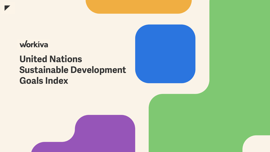## workiva

## **United Nations Sustainable Development Goals Index**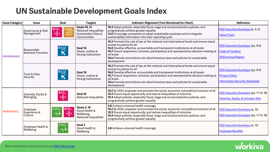## **UN Sustainable Development Goals Index**

| <b>Issue Category</b> | <b>Issue</b>                             | Goal                                                      | <b>Targets</b>                                                                            | <b>Indicator Alignment (Text Shortened for Chart)</b>                                                                                                                                                                                                                                                                                                                                                         | Reference                                                                                                |
|-----------------------|------------------------------------------|-----------------------------------------------------------|-------------------------------------------------------------------------------------------|---------------------------------------------------------------------------------------------------------------------------------------------------------------------------------------------------------------------------------------------------------------------------------------------------------------------------------------------------------------------------------------------------------------|----------------------------------------------------------------------------------------------------------|
| <b>GOVERNANCE</b>     | Governance & Risk<br>Management          | 10 MOUNTES<br>2 RESPONSIBLE<br>AND PRODUCTION<br>လ<br>1≣* | <b>Goals 10, 12</b><br><b>Reduced Inequalities</b><br>Sustainable Cities &<br>Communities | 10.4 Adopt policies, especially fiscal, wage and social protection policies, and<br>progressively achieve greater equality<br>12.6 Encourage companies to adopt sustainable practices and to integrate<br>sustainability information into their reporting cycle                                                                                                                                               | ESG Executive Summary (p. 4, 9)<br><b>Value Chain</b>                                                    |
|                       | Responsible<br><b>Business Practices</b> | 16 $\frac{\text{NAC, MSTG}}{\text{MSTHOMSE}}$             | Goal 16<br>Peace, Justice &<br><b>Strong Institutions</b>                                 | 16.3 Promote the rule of law at the national and international levels and ensure equal<br>access to justice for all<br>16.6 Develop effective, accountable and transparent institutions at all levels<br>16.7 Ensure responsive, inclusive, participatory and representative decision-making at<br>all levels<br>16.b Promote and enforce non-discriminatory laws and policies for sustainable<br>development | <b>ESG Executive Summary (pp. 8-9)</b><br><b>Code of Conduct</b><br>2020 Annual Report                   |
|                       | Trust & Data<br>Security                 | 16 $\frac{\text{MAGL MSTG}}{\text{MSTHOMSE}}$             | Goal 16<br>Peace, Justice &<br><b>Strong Institutions</b>                                 | 16.3 Promote the rule of law at the national and international levels and ensure equal<br>access to justice for all<br>16.6 Develop effective, accountable and transparent institutions at all levels<br>16.7 Ensure responsive, inclusive, participatory and representative decision-making at<br>all levels<br>16.b Promote and enforce non-discriminatory laws and policies for sustainable<br>development | <b>ESG Executive Summary (pp. 8-9)</b><br><b>Privacy Policy</b><br><b>Information Security Datasheet</b> |
| <b>WORKFORCE</b>      | Diversity, Equity &<br>Belonging         | 10 MERICANTES<br>$\blacktriangle$<br>1≣)                  | Goal 10<br><b>Reduced Inequalities</b>                                                    | 10.2 By 2030, empower and promote the social, economic and political inclusion of all<br>10.3 Ensure equal opportunity and reduce inequalities of outcome<br>10.4 Adopt policies, especially fiscal, wage and social protection policies, and<br>progressively achieve greater equality                                                                                                                       | <b>ESG Executive Summary (pp. 11-14, 18)</b><br>Diversity, Equity, & Inclusion Site                      |
|                       | Employee<br>Experience &<br>Culture      | 10 MOULTUS<br>$\blacktriangle$ .<br>19)                   | <b>Goals 3, 10</b><br>Good Health &<br>Wellbeing;<br>Reduced Inequalities                 | 3.8 Achieve universal health coverage<br>10.2 By 2030, empower and promote the social, economic and political inclusion of all<br>10.3 Ensure equal opportunity and reduce inequalities of outcome<br>10.4 Adopt policies, especially fiscal, wage and social protection policies, and<br>progressively achieve greater equality                                                                              | <b>ESG Executive Summary (p. 15)</b><br><b>ESG Executive Summary (pp. 11-14, 18)</b>                     |
|                       | Employee Health &<br>Wellbeing           | 3 5000 HEADY<br>–∿⁄∙                                      | Goal 3<br>Good Health &<br>Wellbeing                                                      | 3.8 Achieve universal health coverage                                                                                                                                                                                                                                                                                                                                                                         | <b>ESG Executive Summary (p. 15)</b><br><b>Employee Benefits</b>                                         |